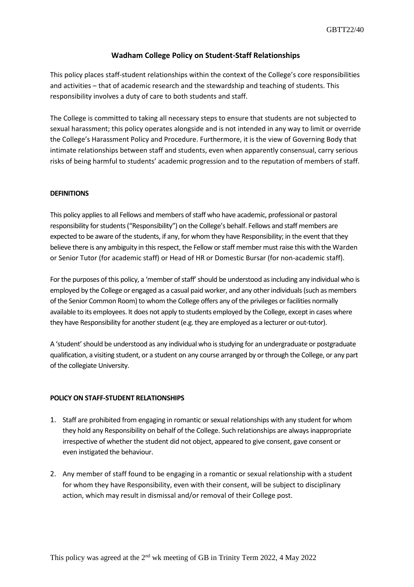## **Wadham College Policy on Student-Staff Relationships**

This policy places staff-student relationships within the context of the College's core responsibilities and activities – that of academic research and the stewardship and teaching of students. This responsibility involves a duty of care to both students and staff.

The College is committed to taking all necessary steps to ensure that students are not subjected to sexual harassment; this policy operates alongside and is not intended in any way to limit or override the College's Harassment Policy and Procedure. Furthermore, it is the view of Governing Body that intimate relationships between staff and students, even when apparently consensual, carry serious risks of being harmful to students' academic progression and to the reputation of members of staff.

## **DEFINITIONS**

This policy applies to all Fellows and members of staff who have academic, professional or pastoral responsibility for students("Responsibility") on the College's behalf. Fellows and staff members are expected to be aware of the students, if any, for whom they have Responsibility; in the event that they believe there is any ambiguity in this respect, the Fellow or staff member must raise this with the Warden or Senior Tutor (for academic staff) or Head of HR or Domestic Bursar (for non-academic staff).

For the purposes of this policy, a 'member of staff' should be understood as including any individual who is employed by the College or engaged as a casual paid worker, and any other individuals (such as members of the Senior Common Room) to whom the College offers any of the privileges or facilities normally available to its employees. It does not apply to students employed by the College, except in cases where they have Responsibility for another student (e.g. they are employed as a lecturer or out-tutor).

A 'student' should be understood as any individual who is studying for an undergraduate or postgraduate qualification, a visiting student, or a student on any course arranged by or through the College, or any part of the collegiate University.

## **POLICY ON STAFF-STUDENT RELATIONSHIPS**

- 1. Staff are prohibited from engaging in romantic or sexual relationships with any student for whom they hold any Responsibility on behalf of the College. Such relationships are always inappropriate irrespective of whether the student did not object, appeared to give consent, gave consent or even instigated the behaviour.
- 2. Any member of staff found to be engaging in a romantic or sexual relationship with a student for whom they have Responsibility, even with their consent, will be subject to disciplinary action, which may result in dismissal and/or removal of their College post.